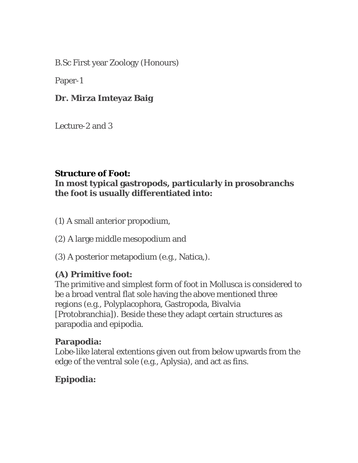B.Sc First year Zoology (Honours)

Paper-1

### **Dr. Mirza Imteyaz Baig**

Lecture-2 and 3

### **Structure of Foot:**

### **In most typical gastropods, particularly in prosobranchs the foot is usually differentiated into:**

- (1) A small anterior propodium,
- (2) A large middle mesopodium and
- (3) A posterior metapodium (e.g., Natica,).

# **(A) Primitive foot:**

The primitive and simplest form of foot in Mollusca is considered to be a broad ventral flat sole having the above mentioned three regions (e.g., Polyplacophora, Gastropoda, Bivalvia [Protobranchia]). Beside these they adapt certain structures as parapodia and epipodia.

### **Parapodia:**

Lobe-like lateral extentions given out from below upwards from the edge of the ventral sole (e.g., Aplysia), and act as fins.

# **Epipodia:**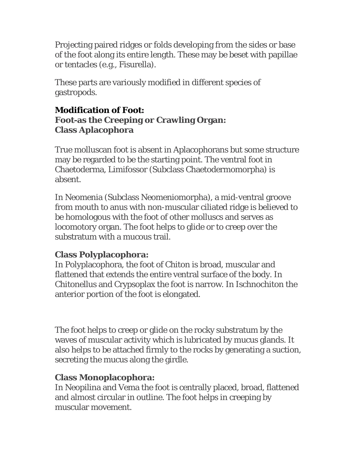Projecting paired ridges or folds developing from the sides or base of the foot along its entire length. These may be beset with papillae or tentacles (e.g., Fisurella).

These parts are variously modified in different species of gastropods.

#### **Modification of Foot: Foot-as the Creeping or Crawling Organ: Class Aplacophora**

True molluscan foot is absent in Aplacophorans but some structure may be regarded to be the starting point. The ventral foot in Chaetoderma, Limifossor (Subclass Chaetodermomorpha) is absent.

In Neomenia (Subclass Neomeniomorpha), a mid-ventral groove from mouth to anus with non-muscular ciliated ridge is believed to be homologous with the foot of other molluscs and serves as locomotory organ. The foot helps to glide or to creep over the substratum with a mucous trail.

### **Class Polyplacophora:**

In Polyplacophora, the foot of Chiton is broad, muscular and flattened that extends the entire ventral surface of the body. In Chitonellus and Crypsoplax the foot is narrow. In Ischnochiton the anterior portion of the foot is elongated.

The foot helps to creep or glide on the rocky substratum by the waves of muscular activity which is lubricated by mucus glands. It also helps to be attached firmly to the rocks by generating a suction, secreting the mucus along the girdle.

#### **Class Monoplacophora:**

In Neopilina and Vema the foot is centrally placed, broad, flattened and almost circular in outline. The foot helps in creeping by muscular movement.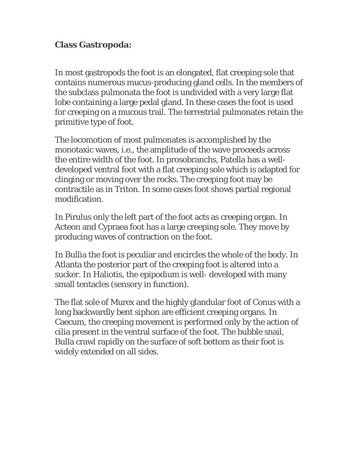#### **Class Gastropoda:**

In most gastropods the foot is an elongated, flat creeping sole that contains numerous mucus-producing gland cells. In the members of the subclass pulmonata the foot is undivided with a very large flat lobe containing a large pedal gland. In these cases the foot is used for creeping on a mucous trail. The terrestrial pulmonates retain the primitive type of foot.

The locomotion of most pulmonates is accomplished by the monotaxic waves, i.e., the amplitude of the wave proceeds across the entire width of the foot. In prosobranchs, Patella has a welldeveloped ventral foot with a flat creeping sole which is adapted for clinging or moving over the rocks. The creeping foot may be contractile as in Triton. In some cases foot shows partial regional modification.

In Pirulus only the left part of the foot acts as creeping organ. In Acteon and Cypraea foot has a large creeping sole. They move by producing waves of contraction on the foot.

In Bullia the foot is peculiar and encircles the whole of the body. In Atlanta the posterior part of the creeping foot is altered into a sucker. In Haliotis, the epipodium is well- developed with many small tentacles (sensory in function).

The flat sole of Murex and the highly glandular foot of Conus with a long backwardly bent siphon are efficient creeping organs. In Caecum, the creeping movement is performed only by the action of cilia present in the ventral surface of the foot. The bubble snail, Bulla crawl rapidly on the surface of soft bottom as their foot is widely extended on all sides.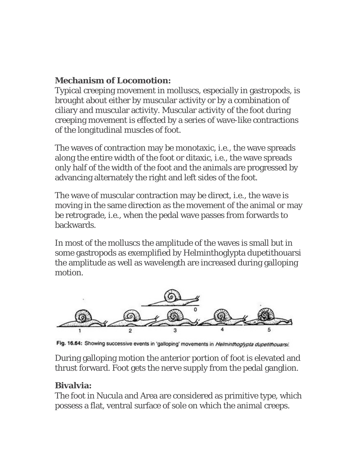#### **Mechanism of Locomotion:**

Typical creeping movement in molluscs, especially in gastropods, is brought about either by muscular activity or by a combination of ciliary and muscular activity. Muscular activity of the foot during creeping movement is effected by a series of wave-like contractions of the longitudinal muscles of foot.

The waves of contraction may be monotaxic, i.e., the wave spreads along the entire width of the foot or ditaxic, i.e., the wave spreads only half of the width of the foot and the animals are progressed by advancing alternately the right and left sides of the foot.

The wave of muscular contraction may be direct, i.e., the wave is moving in the same direction as the movement of the animal or may be retrograde, i.e., when the pedal wave passes from forwards to backwards.

In most of the molluscs the amplitude of the waves is small but in some gastropods as exemplified by Helminthoglypta dupetithouarsi the amplitude as well as wavelength are increased during galloping motion.



Fig. 16.64: Showing successive events in 'galloping' movements in Helminthoglypta dupetithouarsi.

During galloping motion the anterior portion of foot is elevated and thrust forward. Foot gets the nerve supply from the pedal ganglion.

### **Bivalvia:**

The foot in Nucula and Area are considered as primitive type, which possess a flat, ventral surface of sole on which the animal creeps.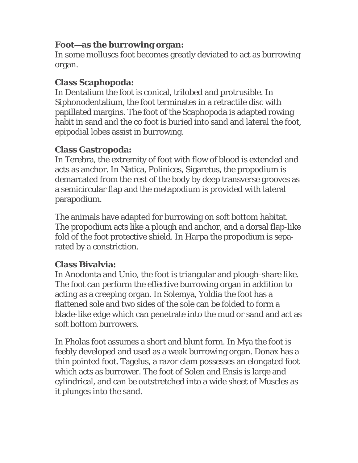#### **Foot—as the burrowing organ:**

In some molluscs foot becomes greatly deviated to act as burrowing organ.

### **Class Scaphopoda:**

In Dentalium the foot is conical, trilobed and protrusible. In Siphonodentalium, the foot terminates in a retractile disc with papillated margins. The foot of the Scaphopoda is adapted rowing habit in sand and the co foot is buried into sand and lateral the foot, epipodial lobes assist in burrowing.

### **Class Gastropoda:**

In Terebra, the extremity of foot with flow of blood is extended and acts as anchor. In Natica, Polinices, Sigaretus, the propodium is demarcated from the rest of the body by deep transverse grooves as a semicircular flap and the metapodium is provided with lateral parapodium.

The animals have adapted for burrowing on soft bottom habitat. The propodium acts like a plough and anchor, and a dorsal flap-like fold of the foot protective shield. In Harpa the propodium is separated by a constriction.

# **Class Bivalvia:**

In Anodonta and Unio, the foot is triangular and plough-share like. The foot can perform the effective burrowing organ in addition to acting as a creeping organ. In Solemya, Yoldia the foot has a flattened sole and two sides of the sole can be folded to form a blade-like edge which can penetrate into the mud or sand and act as soft bottom burrowers.

In Pholas foot assumes a short and blunt form. In Mya the foot is feebly developed and used as a weak burrowing organ. Donax has a thin pointed foot. Tagelus, a razor clam possesses an elongated foot which acts as burrower. The foot of Solen and Ensis is large and cylindrical, and can be outstretched into a wide sheet of Muscles as it plunges into the sand.